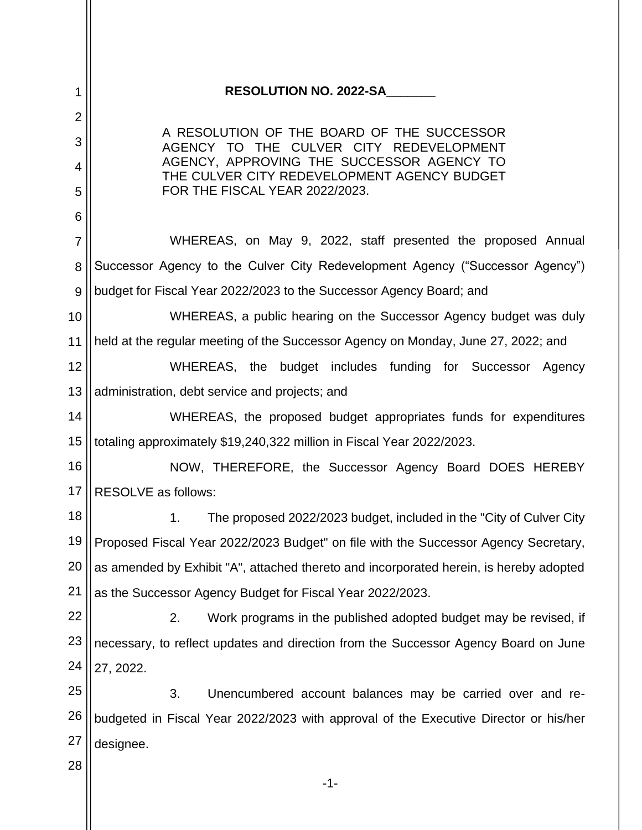| 1              | <b>RESOLUTION NO. 2022-SA</b>                                                            |  |  |
|----------------|------------------------------------------------------------------------------------------|--|--|
| $\overline{2}$ |                                                                                          |  |  |
| 3              | A RESOLUTION OF THE BOARD OF THE SUCCESSOR<br>AGENCY TO THE CULVER CITY REDEVELOPMENT    |  |  |
| 4              | AGENCY, APPROVING THE SUCCESSOR AGENCY TO<br>THE CULVER CITY REDEVELOPMENT AGENCY BUDGET |  |  |
| 5              | FOR THE FISCAL YEAR 2022/2023.                                                           |  |  |
| 6              |                                                                                          |  |  |
| 7              | WHEREAS, on May 9, 2022, staff presented the proposed Annual                             |  |  |
| 8              | Successor Agency to the Culver City Redevelopment Agency ("Successor Agency")            |  |  |
| 9              | budget for Fiscal Year 2022/2023 to the Successor Agency Board; and                      |  |  |
| 10             | WHEREAS, a public hearing on the Successor Agency budget was duly                        |  |  |
| 11             | held at the regular meeting of the Successor Agency on Monday, June 27, 2022; and        |  |  |
| 12             | WHEREAS, the budget includes funding for Successor Agency                                |  |  |
| 13             | administration, debt service and projects; and                                           |  |  |
| 14             | WHEREAS, the proposed budget appropriates funds for expenditures                         |  |  |
| 15             | totaling approximately \$19,240,322 million in Fiscal Year 2022/2023.                    |  |  |
| 16             | NOW, THEREFORE, the Successor Agency Board DOES HEREBY                                   |  |  |
| 17             | <b>RESOLVE</b> as follows:                                                               |  |  |
| 18             | 1.<br>The proposed 2022/2023 budget, included in the "City of Culver City                |  |  |
| 19             | Proposed Fiscal Year 2022/2023 Budget" on file with the Successor Agency Secretary,      |  |  |
| 20             | as amended by Exhibit "A", attached thereto and incorporated herein, is hereby adopted   |  |  |
| 21             | as the Successor Agency Budget for Fiscal Year 2022/2023.                                |  |  |
| 22             | 2.<br>Work programs in the published adopted budget may be revised, if                   |  |  |
| 23             | necessary, to reflect updates and direction from the Successor Agency Board on June      |  |  |
| 24             | 27, 2022.                                                                                |  |  |
| 25             | 3.<br>Unencumbered account balances may be carried over and re-                          |  |  |
| 26             | budgeted in Fiscal Year 2022/2023 with approval of the Executive Director or his/her     |  |  |
| 27             | designee.                                                                                |  |  |
| 28             |                                                                                          |  |  |
|                | $-1-$                                                                                    |  |  |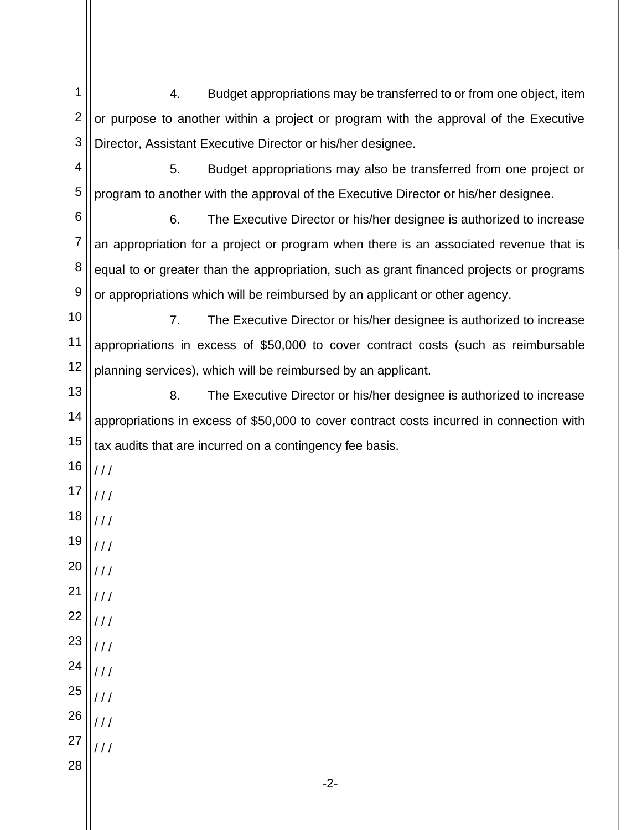1 2 3 4. Budget appropriations may be transferred to or from one object, item or purpose to another within a project or program with the approval of the Executive Director, Assistant Executive Director or his/her designee.

4 5 5. Budget appropriations may also be transferred from one project or program to another with the approval of the Executive Director or his/her designee.

6 7 8 9 6. The Executive Director or his/her designee is authorized to increase an appropriation for a project or program when there is an associated revenue that is equal to or greater than the appropriation, such as grant financed projects or programs or appropriations which will be reimbursed by an applicant or other agency.

10 11 12 7. The Executive Director or his/her designee is authorized to increase appropriations in excess of \$50,000 to cover contract costs (such as reimbursable planning services), which will be reimbursed by an applicant.

13 14 15 8. The Executive Director or his/her designee is authorized to increase appropriations in excess of \$50,000 to cover contract costs incurred in connection with tax audits that are incurred on a contingency fee basis.

- 16 / / /
- 17 / / /
- 18  $111$
- 19 / / /
- 20 21  $111$
- 22 / / /
- 23  $/$  /  $/$ / / /
- 24 25  $111$ / / /
- 26 27 / / /  $111$
- 28